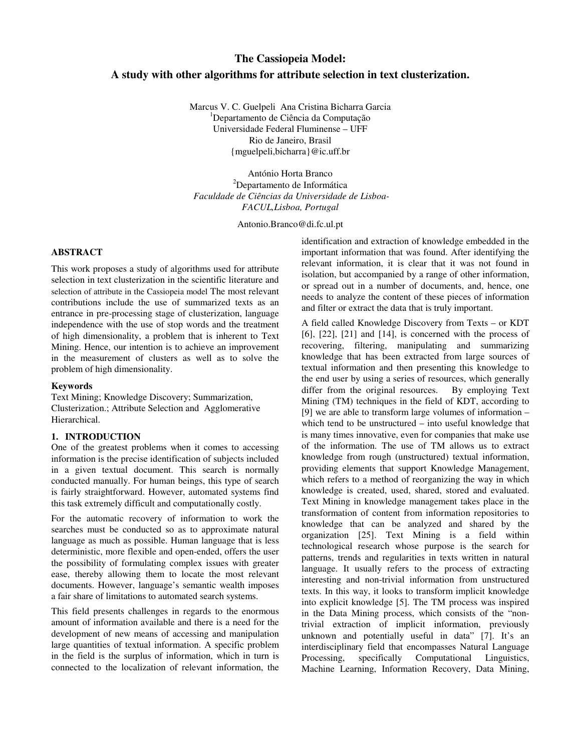# **The Cassiopeia Model: A study with other algorithms for attribute selection in text clusterization.**

Marcus V. C. Guelpeli Ana Cristina Bicharra Garcia <sup>1</sup>Departamento de Ciência da Computação Universidade Federal Fluminense – UFF Rio de Janeiro, Brasil {mguelpeli,bicharra}@ic.uff.br

António Horta Branco <sup>2</sup>Departamento de Informática  *Faculdade de Ciências da Universidade de Lisboa-FACUL,Lisboa, Portugal*

Antonio.Branco@di.fc.ul.pt

### **ABSTRACT**

This work proposes a study of algorithms used for attribute selection in text clusterization in the scientific literature and selection of attribute in the Cassiopeia model The most relevant contributions include the use of summarized texts as an entrance in pre-processing stage of clusterization, language independence with the use of stop words and the treatment of high dimensionality, a problem that is inherent to Text Mining. Hence, our intention is to achieve an improvement in the measurement of clusters as well as to solve the problem of high dimensionality.

# **Keywords**

Text Mining; Knowledge Discovery; Summarization, Clusterization.; Attribute Selection and Agglomerative Hierarchical.

# **1. INTRODUCTION**

One of the greatest problems when it comes to accessing information is the precise identification of subjects included in a given textual document. This search is normally conducted manually. For human beings, this type of search is fairly straightforward. However, automated systems find this task extremely difficult and computationally costly.

For the automatic recovery of information to work the searches must be conducted so as to approximate natural language as much as possible. Human language that is less deterministic, more flexible and open-ended, offers the user the possibility of formulating complex issues with greater ease, thereby allowing them to locate the most relevant documents. However, language's semantic wealth imposes a fair share of limitations to automated search systems.

This field presents challenges in regards to the enormous amount of information available and there is a need for the development of new means of accessing and manipulation large quantities of textual information. A specific problem in the field is the surplus of information, which in turn is connected to the localization of relevant information, the

identification and extraction of knowledge embedded in the important information that was found. After identifying the relevant information, it is clear that it was not found in isolation, but accompanied by a range of other information, or spread out in a number of documents, and, hence, one needs to analyze the content of these pieces of information and filter or extract the data that is truly important.

A field called Knowledge Discovery from Texts – or KDT  $[6]$ ,  $[22]$ ,  $[21]$  and  $[14]$ , is concerned with the process of recovering, filtering, manipulating and summarizing knowledge that has been extracted from large sources of textual information and then presenting this knowledge to the end user by using a series of resources, which generally differ from the original resources. By employing Text Mining (TM) techniques in the field of KDT, according to [9] we are able to transform large volumes of information – which tend to be unstructured – into useful knowledge that is many times innovative, even for companies that make use of the information. The use of TM allows us to extract knowledge from rough (unstructured) textual information, providing elements that support Knowledge Management, which refers to a method of reorganizing the way in which knowledge is created, used, shared, stored and evaluated. Text Mining in knowledge management takes place in the transformation of content from information repositories to knowledge that can be analyzed and shared by the organization [25]. Text Mining is a field within technological research whose purpose is the search for patterns, trends and regularities in texts written in natural language. It usually refers to the process of extracting interesting and non-trivial information from unstructured texts. In this way, it looks to transform implicit knowledge into explicit knowledge [5]. The TM process was inspired in the Data Mining process, which consists of the "nontrivial extraction of implicit information, previously unknown and potentially useful in data" [7]. It's an interdisciplinary field that encompasses Natural Language Processing, specifically Computational Linguistics, Machine Learning, Information Recovery, Data Mining,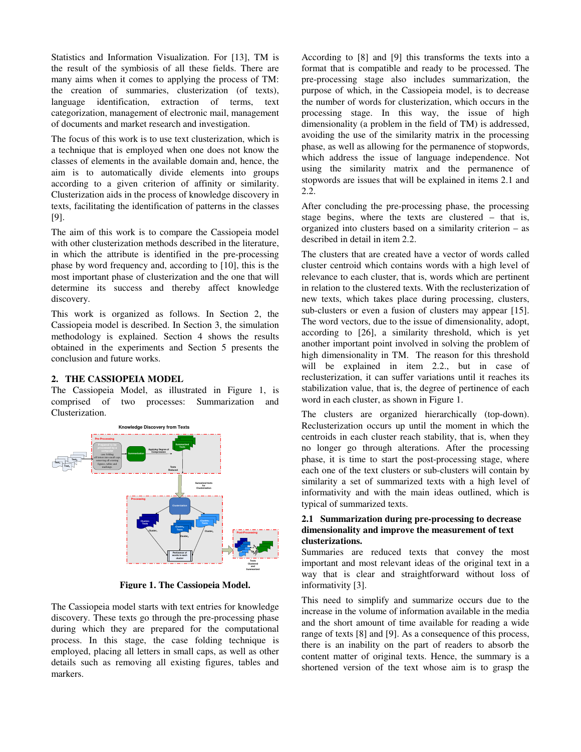Statistics and Information Visualization. For [13], TM is the result of the symbiosis of all these fields. There are many aims when it comes to applying the process of TM: the creation of summaries, clusterization (of texts), language identification, extraction of terms, text categorization, management of electronic mail, management of documents and market research and investigation.

The focus of this work is to use text clusterization, which is a technique that is employed when one does not know the classes of elements in the available domain and, hence, the aim is to automatically divide elements into groups according to a given criterion of affinity or similarity. Clusterization aids in the process of knowledge discovery in texts, facilitating the identification of patterns in the classes [9].

The aim of this work is to compare the Cassiopeia model with other clusterization methods described in the literature, in which the attribute is identified in the pre-processing phase by word frequency and, according to [10], this is the most important phase of clusterization and the one that will determine its success and thereby affect knowledge discovery.

This work is organized as follows. In Section 2, the Cassiopeia model is described. In Section 3, the simulation methodology is explained. Section 4 shows the results obtained in the experiments and Section 5 presents the conclusion and future works.

### **2. THE CASSIOPEIA MODEL**

The Cassiopeia Model, as illustrated in Figure 1, is comprised of two processes: Summarization and Clusterization.



**Figure 1. The Cassiopeia Model.**

The Cassiopeia model starts with text entries for knowledge discovery. These texts go through the pre-processing phase during which they are prepared for the computational process. In this stage, the case folding technique is employed, placing all letters in small caps, as well as other details such as removing all existing figures, tables and markers.

According to [8] and [9] this transforms the texts into a format that is compatible and ready to be processed. The pre-processing stage also includes summarization, the purpose of which, in the Cassiopeia model, is to decrease the number of words for clusterization, which occurs in the processing stage. In this way, the issue of high dimensionality (a problem in the field of TM) is addressed, avoiding the use of the similarity matrix in the processing phase, as well as allowing for the permanence of stopwords, which address the issue of language independence. Not using the similarity matrix and the permanence of stopwords are issues that will be explained in items 2.1 and 2.2.

After concluding the pre-processing phase, the processing stage begins, where the texts are clustered – that is, organized into clusters based on a similarity criterion – as described in detail in item 2.2.

The clusters that are created have a vector of words called cluster centroid which contains words with a high level of relevance to each cluster, that is, words which are pertinent in relation to the clustered texts. With the reclusterization of new texts, which takes place during processing, clusters, sub-clusters or even a fusion of clusters may appear [15]. The word vectors, due to the issue of dimensionality, adopt, according to [26], a similarity threshold, which is yet another important point involved in solving the problem of high dimensionality in TM. The reason for this threshold will be explained in item 2.2., but in case of reclusterization, it can suffer variations until it reaches its stabilization value, that is, the degree of pertinence of each word in each cluster, as shown in Figure 1.

The clusters are organized hierarchically (top-down). Reclusterization occurs up until the moment in which the centroids in each cluster reach stability, that is, when they no longer go through alterations. After the processing phase, it is time to start the post-processing stage, where each one of the text clusters or sub-clusters will contain by similarity a set of summarized texts with a high level of informativity and with the main ideas outlined, which is typical of summarized texts.

### **2.1 Summarization during pre-processing to decrease dimensionality and improve the measurement of text clusterizations.**

Summaries are reduced texts that convey the most important and most relevant ideas of the original text in a way that is clear and straightforward without loss of informativity [3].

This need to simplify and summarize occurs due to the increase in the volume of information available in the media and the short amount of time available for reading a wide range of texts [8] and [9]. As a consequence of this process, there is an inability on the part of readers to absorb the content matter of original texts. Hence, the summary is a shortened version of the text whose aim is to grasp the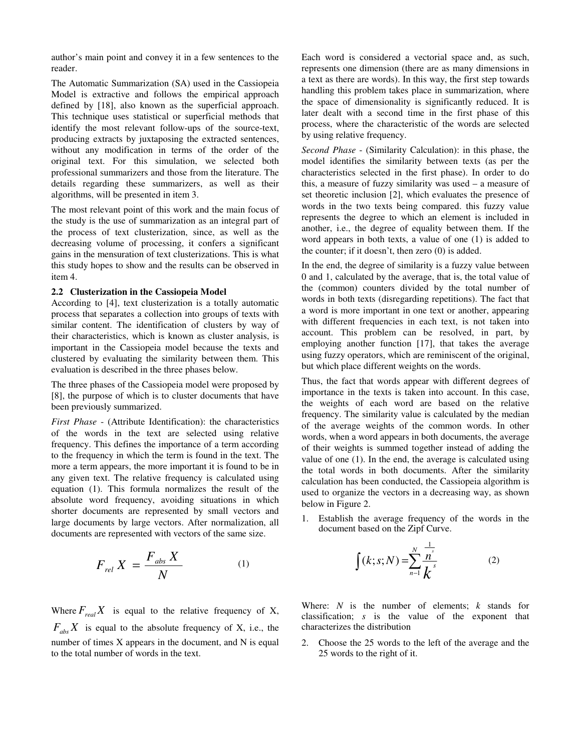author's main point and convey it in a few sentences to the reader.

The Automatic Summarization (SA) used in the Cassiopeia Model is extractive and follows the empirical approach defined by [18], also known as the superficial approach. This technique uses statistical or superficial methods that identify the most relevant follow-ups of the source-text, producing extracts by juxtaposing the extracted sentences, without any modification in terms of the order of the original text. For this simulation, we selected both professional summarizers and those from the literature. The details regarding these summarizers, as well as their algorithms, will be presented in item 3.

The most relevant point of this work and the main focus of the study is the use of summarization as an integral part of the process of text clusterization, since, as well as the decreasing volume of processing, it confers a significant gains in the mensuration of text clusterizations. This is what this study hopes to show and the results can be observed in item 4.

### **2.2 Clusterization in the Cassiopeia Model**

According to [4], text clusterization is a totally automatic process that separates a collection into groups of texts with similar content. The identification of clusters by way of their characteristics, which is known as cluster analysis, is important in the Cassiopeia model because the texts and clustered by evaluating the similarity between them. This evaluation is described in the three phases below.

The three phases of the Cassiopeia model were proposed by [8], the purpose of which is to cluster documents that have been previously summarized.

*First Phase* - (Attribute Identification): the characteristics of the words in the text are selected using relative frequency. This defines the importance of a term according to the frequency in which the term is found in the text. The more a term appears, the more important it is found to be in any given text. The relative frequency is calculated using equation (1). This formula normalizes the result of the absolute word frequency, avoiding situations in which shorter documents are represented by small vectors and large documents by large vectors. After normalization, all documents are represented with vectors of the same size.

$$
F_{rel} X = \frac{F_{abs} X}{N}
$$
 (1)

Where  $F_{rad}X$  is equal to the relative frequency of X,  $F_{abc}X$  is equal to the absolute frequency of X, i.e., the number of times X appears in the document, and N is equal to the total number of words in the text.

Each word is considered a vectorial space and, as such, represents one dimension (there are as many dimensions in a text as there are words). In this way, the first step towards handling this problem takes place in summarization, where the space of dimensionality is significantly reduced. It is later dealt with a second time in the first phase of this process, where the characteristic of the words are selected by using relative frequency.

*Second Phase* - (Similarity Calculation): in this phase, the model identifies the similarity between texts (as per the characteristics selected in the first phase). In order to do this, a measure of fuzzy similarity was used – a measure of set theoretic inclusion [2], which evaluates the presence of words in the two texts being compared. this fuzzy value represents the degree to which an element is included in another, i.e., the degree of equality between them. If the word appears in both texts, a value of one (1) is added to the counter; if it doesn't, then zero (0) is added.

In the end, the degree of similarity is a fuzzy value between 0 and 1, calculated by the average, that is, the total value of the (common) counters divided by the total number of words in both texts (disregarding repetitions). The fact that a word is more important in one text or another, appearing with different frequencies in each text, is not taken into account. This problem can be resolved, in part, by employing another function [17], that takes the average using fuzzy operators, which are reminiscent of the original, but which place different weights on the words.

Thus, the fact that words appear with different degrees of importance in the texts is taken into account. In this case, the weights of each word are based on the relative frequency. The similarity value is calculated by the median of the average weights of the common words. In other words, when a word appears in both documents, the average of their weights is summed together instead of adding the value of one (1). In the end, the average is calculated using the total words in both documents. After the similarity calculation has been conducted, the Cassiopeia algorithm is used to organize the vectors in a decreasing way, as shown below in Figure 2.

1. Establish the average frequency of the words in the document based on the Zipf Curve.

$$
\int (k; s; N) = \sum_{n=1}^{N} \frac{\frac{1}{n^{s}}}{k^{s}}
$$
 (2)

Where: *N* is the number of elements; *k* stands for classification; *s* is the value of the exponent that characterizes the distribution

2. Choose the 25 words to the left of the average and the 25 words to the right of it.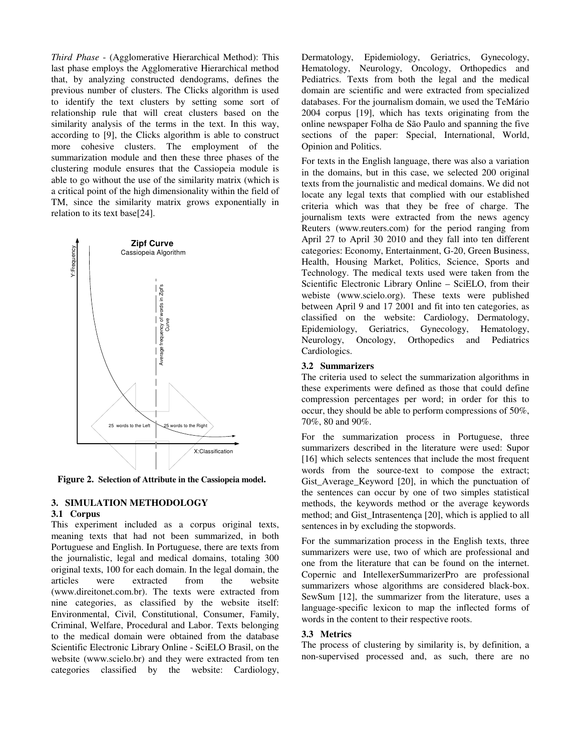*Third Phase* - (Agglomerative Hierarchical Method): This last phase employs the Agglomerative Hierarchical method that, by analyzing constructed dendograms, defines the previous number of clusters. The Clicks algorithm is used to identify the text clusters by setting some sort of relationship rule that will creat clusters based on the similarity analysis of the terms in the text. In this way, according to [9], the Clicks algorithm is able to construct more cohesive clusters. The employment of the summarization module and then these three phases of the clustering module ensures that the Cassiopeia module is able to go without the use of the similarity matrix (which is a critical point of the high dimensionality within the field of TM, since the similarity matrix grows exponentially in relation to its text base[24].



**Figure 2. Selection of Attribute in the Cassiopeia model.** 

### **3. SIMULATION METHODOLOGY**

#### **3.1 Corpus**

This experiment included as a corpus original texts, meaning texts that had not been summarized, in both Portuguese and English. In Portuguese, there are texts from the journalistic, legal and medical domains, totaling 300 original texts, 100 for each domain. In the legal domain, the articles were extracted from the website (www.direitonet.com.br). The texts were extracted from nine categories, as classified by the website itself: Environmental, Civil, Constitutional, Consumer, Family, Criminal, Welfare, Procedural and Labor. Texts belonging to the medical domain were obtained from the database Scientific Electronic Library Online - SciELO Brasil, on the website (www.scielo.br) and they were extracted from ten categories classified by the website: Cardiology, Dermatology, Epidemiology, Geriatrics, Gynecology, Hematology, Neurology, Oncology, Orthopedics and Pediatrics. Texts from both the legal and the medical domain are scientific and were extracted from specialized databases. For the journalism domain, we used the TeMário 2004 corpus [19], which has texts originating from the online newspaper Folha de São Paulo and spanning the five sections of the paper: Special, International, World, Opinion and Politics.

For texts in the English language, there was also a variation in the domains, but in this case, we selected 200 original texts from the journalistic and medical domains. We did not locate any legal texts that complied with our established criteria which was that they be free of charge. The journalism texts were extracted from the news agency Reuters (www.reuters.com) for the period ranging from April 27 to April 30 2010 and they fall into ten different categories: Economy, Entertainment, G-20, Green Business, Health, Housing Market, Politics, Science, Sports and Technology. The medical texts used were taken from the Scientific Electronic Library Online – SciELO, from their webiste (www.scielo.org). These texts were published between April 9 and 17 2001 and fit into ten categories, as classified on the website: Cardiology, Dermatology, Epidemiology, Geriatrics, Gynecology, Hematology, Neurology, Oncology, Orthopedics and Pediatrics Cardiologics.

### **3.2 Summarizers**

The criteria used to select the summarization algorithms in these experiments were defined as those that could define compression percentages per word; in order for this to occur, they should be able to perform compressions of 50%, 70%, 80 and 90%.

For the summarization process in Portuguese, three summarizers described in the literature were used: Supor [16] which selects sentences that include the most frequent words from the source-text to compose the extract; Gist Average Keyword [20], in which the punctuation of the sentences can occur by one of two simples statistical methods, the keywords method or the average keywords method; and Gist\_Intrasentença [20], which is applied to all sentences in by excluding the stopwords.

For the summarization process in the English texts, three summarizers were use, two of which are professional and one from the literature that can be found on the internet. Copernic and IntellexerSummarizerPro are professional summarizers whose algorithms are considered black-box. SewSum [12], the summarizer from the literature, uses a language-specific lexicon to map the inflected forms of words in the content to their respective roots.

### **3.3 Metrics**

The process of clustering by similarity is, by definition, a non-supervised processed and, as such, there are no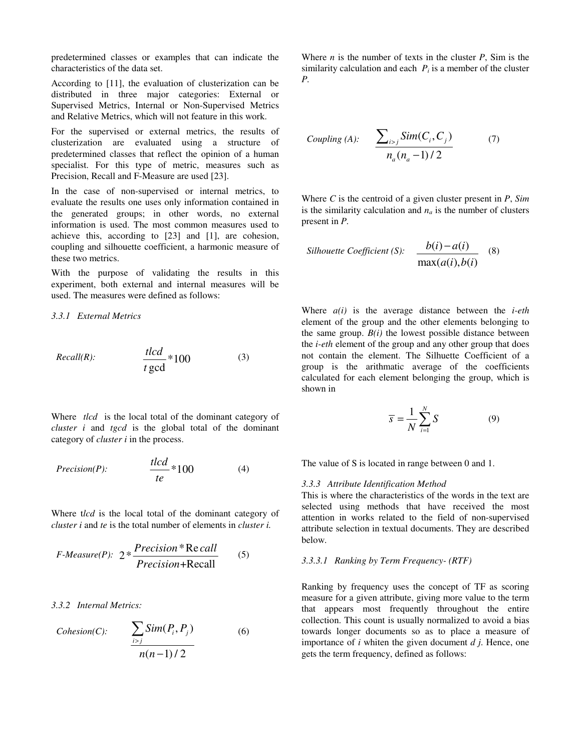predetermined classes or examples that can indicate the characteristics of the data set.

According to [11], the evaluation of clusterization can be distributed in three major categories: External or Supervised Metrics, Internal or Non-Supervised Metrics and Relative Metrics, which will not feature in this work.

For the supervised or external metrics, the results of clusterization are evaluated using a structure of predetermined classes that reflect the opinion of a human specialist. For this type of metric, measures such as Precision, Recall and F-Measure are used [23].

In the case of non-supervised or internal metrics, to evaluate the results one uses only information contained in the generated groups; in other words, no external information is used. The most common measures used to achieve this, according to [23] and [1], are cohesion, coupling and silhouette coefficient, a harmonic measure of these two metrics.

With the purpose of validating the results in this experiment, both external and internal measures will be used. The measures were defined as follows:

*3.3.1 External Metrics* 

Recall(R): 
$$
\frac{t l c d}{t \gcd} * 100
$$
 (3)

Where *tlcd* is the local total of the dominant category of *cluster i* and *tgcd* is the global total of the dominant category of *cluster i* in the process.

$$
Precision(P): \qquad \qquad \frac{tlcd}{te} * 100 \tag{4}
$$

Where t*lcd* is the local total of the dominant category of *cluster i* and *te* is the total number of elements in *cluster i.* 

$$
F\text{-}Measure(P): \ 2 * \frac{Precision * Re \, call}{Precision + Recall} \qquad (5)
$$

*3.3.2 Internal Metrics:* 

$$
Cohesion(C): \qquad \frac{\sum_{i>j} Sim(P_i, P_j)}{n(n-1)/2} \tag{6}
$$

Where  $n$  is the number of texts in the cluster  $P$ , Sim is the similarity calculation and each  $P_i$  is a member of the cluster *P.* 

$$
Coupling (A): \quad \frac{\sum_{i>j} Sim(C_i, C_j)}{n_a (n_a - 1)/2} \tag{7}
$$

Where *C* is the centroid of a given cluster present in *P*, *Sim* is the similarity calculation and  $n_a$  is the number of clusters present in *P.* 

$$
Silhouette Coefficient (S): \frac{b(i) - a(i)}{\max(a(i), b(i)}
$$
 (8)

Where *a(i)* is the average distance between the *i-eth* element of the group and the other elements belonging to the same group.  $B(i)$  the lowest possible distance between the *i-eth* element of the group and any other group that does not contain the element. The Silhuette Coefficient of a group is the arithmatic average of the coefficients calculated for each element belonging the group, which is shown in

$$
\overline{s} = \frac{1}{N} \sum_{i=1}^{N} S \tag{9}
$$

The value of S is located in range between 0 and 1.

#### *3.3.3 Attribute Identification Method*

This is where the characteristics of the words in the text are selected using methods that have received the most attention in works related to the field of non-supervised attribute selection in textual documents. They are described below.

#### *3.3.3.1 Ranking by Term Frequency- (RTF)*

Ranking by frequency uses the concept of TF as scoring measure for a given attribute, giving more value to the term that appears most frequently throughout the entire collection. This count is usually normalized to avoid a bias towards longer documents so as to place a measure of importance of *i* whiten the given document *d j*. Hence, one gets the term frequency, defined as follows: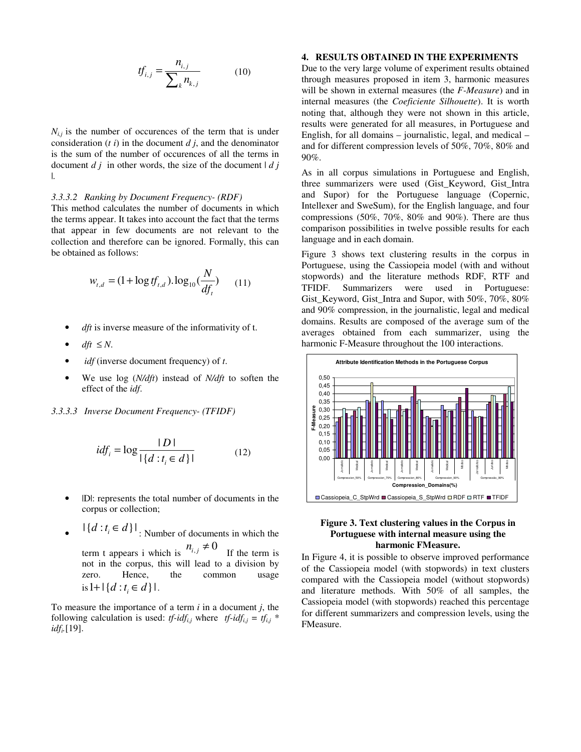$$
tf_{i,j} = \frac{n_{i,j}}{\sum_{k} n_{k,j}}
$$
 (10)

 $N_{i,j}$  is the number of occurences of the term that is under consideration (*t i*) in the document *d j*, and the denominator is the sum of the number of occurences of all the terms in document  $d \, i$  in other words, the size of the document  $| d \, i$ |.

#### *3.3.3.2 Ranking by Document Frequency- (RDF)*

This method calculates the number of documents in which the terms appear. It takes into account the fact that the terms that appear in few documents are not relevant to the collection and therefore can be ignored. Formally, this can be obtained as follows:

$$
w_{t,d} = (1 + \log t f_{t,d}) \cdot \log_{10}(\frac{N}{df_t}) \tag{11}
$$

- *dft* is inverse measure of the informativity of t.
- $dft \leq N$ .
- *idf* (inverse document frequency) of *t*.
- We use log (*N/dft*) instead of *N/dft* to soften the effect of the *idf*.
- *3.3.3.3 Inverse Document Frequency- (TFIDF)*

$$
idfi = \log \frac{|D|}{|\{d : t_i \in d\}|}
$$
 (12)

- |D|: represents the total number of documents in the corpus or collection;
- $|\{d : t_i \in d\}|$  : Number of documents in which the term t appears i which is  $n_{i,j} \neq 0$  If the term is not in the corpus, this will lead to a division by zero. Hence, the common usage  $is 1 + |\{ d : t_i \in d \}|.$

To measure the importance of a term *i* in a document *j*, the following calculation is used: *tf-idf<sub>i,j</sub>* where *tf-idf<sub>i,j</sub>* =  $tf_{i,j}$  \* *idf<sup>i</sup> .*[19].

#### **4. RESULTS OBTAINED IN THE EXPERIMENTS**

Due to the very large volume of experiment results obtained through measures proposed in item 3, harmonic measures will be shown in external measures (the *F-Measure*) and in internal measures (the *Coeficiente Silhouette*). It is worth noting that, although they were not shown in this article, results were generated for all measures, in Portuguese and English, for all domains – journalistic, legal, and medical – and for different compression levels of 50%, 70%, 80% and 90%.

As in all corpus simulations in Portuguese and English, three summarizers were used (Gist\_Keyword, Gist\_Intra and Supor) for the Portuguese language (Copernic, Intellexer and SweSum), for the English language, and four compressions (50%, 70%, 80% and 90%). There are thus comparison possibilities in twelve possible results for each language and in each domain.

Figure 3 shows text clustering results in the corpus in Portuguese, using the Cassiopeia model (with and without stopwords) and the literature methods RDF, RTF and TFIDF. Summarizers were used in Portuguese: Gist Keyword, Gist Intra and Supor, with 50%, 70%, 80% and 90% compression, in the journalistic, legal and medical domains. Results are composed of the average sum of the averages obtained from each summarizer, using the harmonic F-Measure throughout the 100 interactions.



### **Figure 3. Text clustering values in the Corpus in Portuguese with internal measure using the harmonic FMeasure.**

In Figure 4, it is possible to observe improved performance of the Cassiopeia model (with stopwords) in text clusters compared with the Cassiopeia model (without stopwords) and literature methods. With 50% of all samples, the Cassiopeia model (with stopwords) reached this percentage for different summarizers and compression levels, using the FMeasure.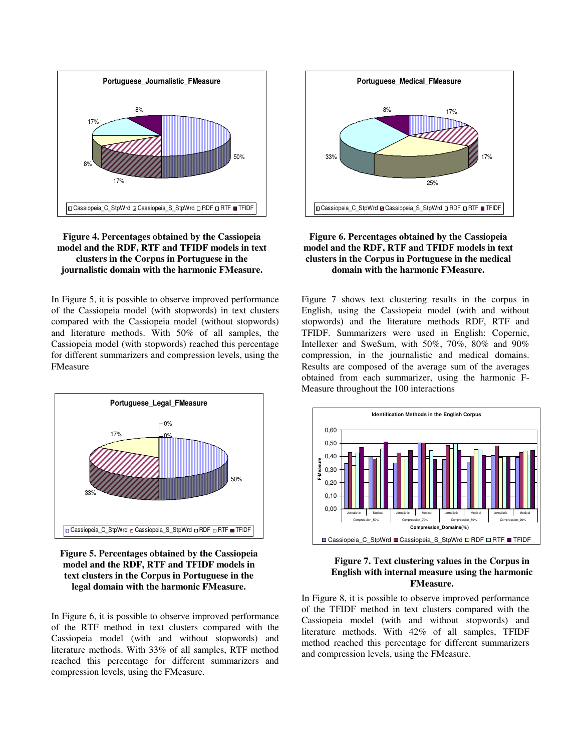

# **Figure 4. Percentages obtained by the Cassiopeia model and the RDF, RTF and TFIDF models in text clusters in the Corpus in Portuguese in the journalistic domain with the harmonic FMeasure.**

In Figure 5, it is possible to observe improved performance of the Cassiopeia model (with stopwords) in text clusters compared with the Cassiopeia model (without stopwords) and literature methods. With 50% of all samples, the Cassiopeia model (with stopwords) reached this percentage for different summarizers and compression levels, using the FMeasure



**Figure 5. Percentages obtained by the Cassiopeia model and the RDF, RTF and TFIDF models in text clusters in the Corpus in Portuguese in the legal domain with the harmonic FMeasure.** 

In Figure 6, it is possible to observe improved performance of the RTF method in text clusters compared with the Cassiopeia model (with and without stopwords) and literature methods. With 33% of all samples, RTF method reached this percentage for different summarizers and compression levels, using the FMeasure.



## **Figure 6. Percentages obtained by the Cassiopeia model and the RDF, RTF and TFIDF models in text clusters in the Corpus in Portuguese in the medical domain with the harmonic FMeasure.**

Figure 7 shows text clustering results in the corpus in English, using the Cassiopeia model (with and without stopwords) and the literature methods RDF, RTF and TFIDF. Summarizers were used in English: Copernic, Intellexer and SweSum, with 50%, 70%, 80% and 90% compression, in the journalistic and medical domains. Results are composed of the average sum of the averages obtained from each summarizer, using the harmonic F-Measure throughout the 100 interactions





In Figure 8, it is possible to observe improved performance of the TFIDF method in text clusters compared with the Cassiopeia model (with and without stopwords) and literature methods. With 42% of all samples, TFIDF method reached this percentage for different summarizers and compression levels, using the FMeasure.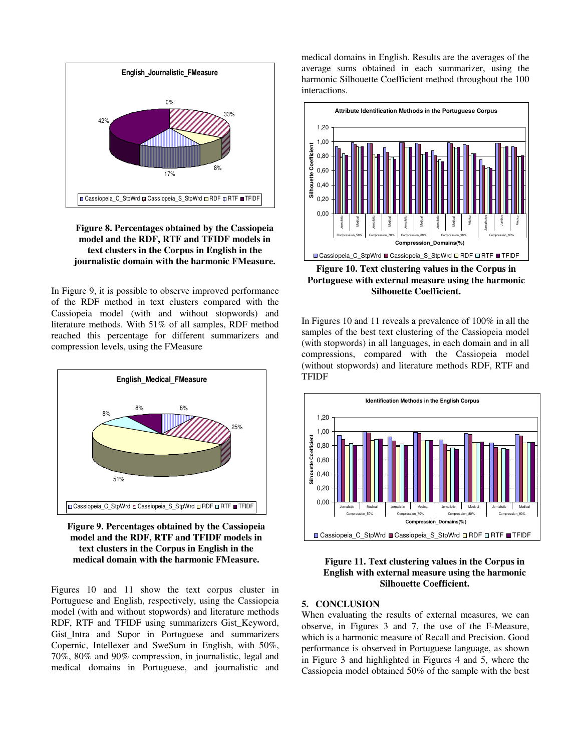

**Figure 8. Percentages obtained by the Cassiopeia model and the RDF, RTF and TFIDF models in text clusters in the Corpus in English in the journalistic domain with the harmonic FMeasure.** 

In Figure 9, it is possible to observe improved performance of the RDF method in text clusters compared with the Cassiopeia model (with and without stopwords) and literature methods. With 51% of all samples, RDF method reached this percentage for different summarizers and compression levels, using the FMeasure



**Figure 9. Percentages obtained by the Cassiopeia model and the RDF, RTF and TFIDF models in text clusters in the Corpus in English in the medical domain with the harmonic FMeasure.** 

Figures 10 and 11 show the text corpus cluster in Portuguese and English, respectively, using the Cassiopeia model (with and without stopwords) and literature methods RDF, RTF and TFIDF using summarizers Gist\_Keyword, Gist Intra and Supor in Portuguese and summarizers Copernic, Intellexer and SweSum in English, with 50%, 70%, 80% and 90% compression, in journalistic, legal and medical domains in Portuguese, and journalistic and

medical domains in English. Results are the averages of the average sums obtained in each summarizer, using the harmonic Silhouette Coefficient method throughout the 100 interactions.



**Figure 10. Text clustering values in the Corpus in Portuguese with external measure using the harmonic Silhouette Coefficient.** 

In Figures 10 and 11 reveals a prevalence of 100% in all the samples of the best text clustering of the Cassiopeia model (with stopwords) in all languages, in each domain and in all compressions, compared with the Cassiopeia model (without stopwords) and literature methods RDF, RTF and TFIDF



**Figure 11. Text clustering values in the Corpus in English with external measure using the harmonic Silhouette Coefficient.** 

#### **5. CONCLUSION**

When evaluating the results of external measures, we can observe, in Figures 3 and 7, the use of the F-Measure, which is a harmonic measure of Recall and Precision. Good performance is observed in Portuguese language, as shown in Figure 3 and highlighted in Figures 4 and 5, where the Cassiopeia model obtained 50% of the sample with the best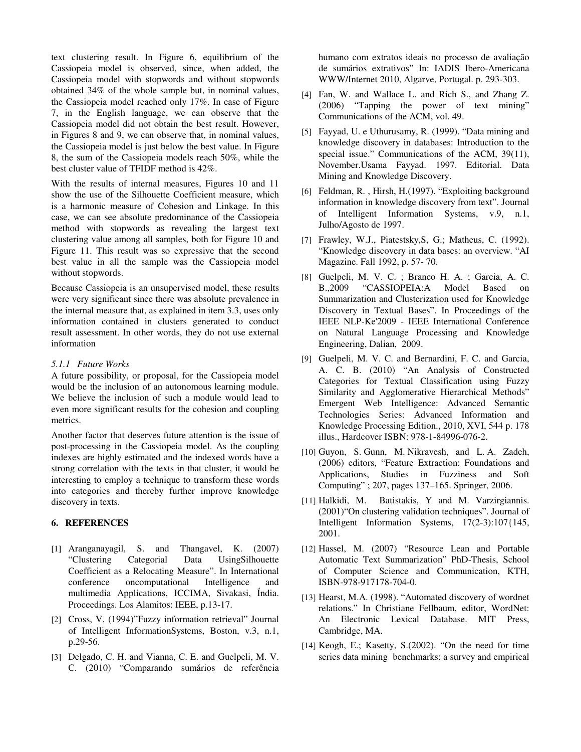text clustering result. In Figure 6, equilibrium of the Cassiopeia model is observed, since, when added, the Cassiopeia model with stopwords and without stopwords obtained 34% of the whole sample but, in nominal values, the Cassiopeia model reached only 17%. In case of Figure 7, in the English language, we can observe that the Cassiopeia model did not obtain the best result. However, in Figures 8 and 9, we can observe that, in nominal values, the Cassiopeia model is just below the best value. In Figure 8, the sum of the Cassiopeia models reach 50%, while the best cluster value of TFIDF method is 42%.

With the results of internal measures, Figures 10 and 11 show the use of the Silhouette Coefficient measure, which is a harmonic measure of Cohesion and Linkage. In this case, we can see absolute predominance of the Cassiopeia method with stopwords as revealing the largest text clustering value among all samples, both for Figure 10 and Figure 11. This result was so expressive that the second best value in all the sample was the Cassiopeia model without stopwords.

Because Cassiopeia is an unsupervised model, these results were very significant since there was absolute prevalence in the internal measure that, as explained in item 3.3, uses only information contained in clusters generated to conduct result assessment. In other words, they do not use external information

### *5.1.1 Future Works*

A future possibility, or proposal, for the Cassiopeia model would be the inclusion of an autonomous learning module. We believe the inclusion of such a module would lead to even more significant results for the cohesion and coupling metrics.

Another factor that deserves future attention is the issue of post-processing in the Cassiopeia model. As the coupling indexes are highly estimated and the indexed words have a strong correlation with the texts in that cluster, it would be interesting to employ a technique to transform these words into categories and thereby further improve knowledge discovery in texts.

# **6. REFERENCES**

- [1] Aranganayagil, S. and Thangavel, K. (2007) "Clustering Categorial Data UsingSilhouette Coefficient as a Relocating Measure". In International conference oncomputational Intelligence and multimedia Applications, ICCIMA, Sivakasi, Índia. Proceedings. Los Alamitos: IEEE, p.13-17.
- [2] Cross, V. (1994)"Fuzzy information retrieval" Journal of Intelligent InformationSystems, Boston, v.3, n.1, p.29-56.
- [3] Delgado, C. H. and Vianna, C. E. and Guelpeli, M. V. C. (2010) "Comparando sumários de referência

humano com extratos ideais no processo de avaliação de sumários extrativos" In: IADIS Ibero-Americana WWW/Internet 2010, Algarve, Portugal. p. 293-303.

- [4] Fan, W. and Wallace L. and Rich S., and Zhang Z. (2006) "Tapping the power of text mining" Communications of the ACM, vol. 49.
- [5] Fayyad, U. e Uthurusamy, R. (1999). "Data mining and knowledge discovery in databases: Introduction to the special issue." Communications of the ACM, 39(11), November.Usama Fayyad. 1997. Editorial. Data Mining and Knowledge Discovery.
- [6] Feldman, R. , Hirsh, H.(1997). "Exploiting background information in knowledge discovery from text". Journal of Intelligent Information Systems, v.9, n.1, Julho/Agosto de 1997.
- [7] Frawley, W.J., Piatestsky, S, G.; Matheus, C. (1992). "Knowledge discovery in data bases: an overview. "AI Magazine. Fall 1992, p. 57- 70.
- [8] Guelpeli, M. V. C. ; Branco H. A. ; Garcia, A. C. B.,2009 "CASSIOPEIA:A Model Based on Summarization and Clusterization used for Knowledge Discovery in Textual Bases". In Proceedings of the IEEE NLP-Ke'2009 - IEEE International Conference on Natural Language Processing and Knowledge Engineering, Dalian, 2009.
- [9] Guelpeli, M. V. C. and Bernardini, F. C. and Garcia, A. C. B. (2010) "An Analysis of Constructed Categories for Textual Classification using Fuzzy Similarity and Agglomerative Hierarchical Methods" Emergent Web Intelligence: Advanced Semantic Technologies Series: Advanced Information and Knowledge Processing Edition., 2010, XVI, 544 p. 178 illus., Hardcover ISBN: 978-1-84996-076-2.
- [10] Guyon, S. Gunn, M. Nikravesh, and L. A. Zadeh, (2006) editors, "Feature Extraction: Foundations and Applications, Studies in Fuzziness and Soft Computing" ; 207, pages 137–165. Springer, 2006.
- [11] Halkidi, M. Batistakis, Y and M. Varzirgiannis. (2001)"On clustering validation techniques". Journal of Intelligent Information Systems, 17(2-3):107{145, 2001.
- [12] Hassel, M. (2007) "Resource Lean and Portable Automatic Text Summarization" PhD-Thesis, School of Computer Science and Communication, KTH, ISBN-978-917178-704-0.
- [13] Hearst, M.A. (1998). "Automated discovery of wordnet relations." In Christiane Fellbaum, editor, WordNet: An Electronic Lexical Database. MIT Press, Cambridge, MA.
- [14] Keogh, E.; Kasetty, S.(2002). "On the need for time series data mining benchmarks: a survey and empirical